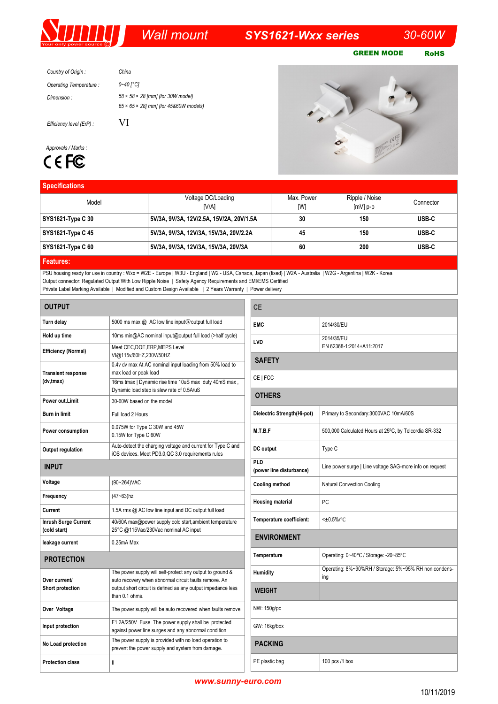# *Wall mount SYS1621-Wxx series 30-60W*

GREEN MODE RoHS

| Country of Origin:     | China                                            |
|------------------------|--------------------------------------------------|
| Operating Temperature: | 0~40 I°CI                                        |
| Dimension :            | $58 \times 58 \times 28$ [mm] (for 30W model)    |
|                        | $65 \times 65 \times 28$ mm] (for 45&60W models) |

VI

*Efficiency level (ErP) :*

## *Approvals / Marks :*



### **Specifications**



| <b>Specifications</b>    |                                          |            |                |           |  |
|--------------------------|------------------------------------------|------------|----------------|-----------|--|
| Model                    | Voltage DC/Loading                       | Max. Power | Ripple / Noise | Connector |  |
|                          | [V/A]                                    | [W]        | $[mV]$ p-p     |           |  |
| SYS1621-Type C 30        | 5V/3A, 9V/3A, 12V/2.5A, 15V/2A, 20V/1.5A | 30         | 150            | USB-C     |  |
| <b>SYS1621-Type C 45</b> | 5V/3A, 9V/3A, 12V/3A, 15V/3A, 20V/2.2A   | 45         | 150            | USB-C     |  |
| SYS1621-Type C 60        | 5V/3A, 9V/3A, 12V/3A, 15V/3A, 20V/3A     | 60         | 200            | USB-C     |  |
|                          |                                          |            |                |           |  |

**Features:**

PSU housing ready for use in country : Wxx = W2E - Europe | W3U - England | W2 - USA, Canada, Japan (fixed) | W2A - Australia | W2G - Argentina | W2K - Korea Output connector: Regulated Output With Low Ripple Noise | Safety Agency Requirements and EMI/EMS Certified Private Label Marking Available | Modified and Custom Design Available | 2 Years Warranty | Power delivery

| <b>OUTPUT</b>                               |                                                                                                                                                                                                       |  |
|---------------------------------------------|-------------------------------------------------------------------------------------------------------------------------------------------------------------------------------------------------------|--|
| Turn delay                                  | 5000 ms max @ AC low line input@output full load                                                                                                                                                      |  |
| Hold up time                                | 10ms min@AC nominal input@output full load (>half cycle)                                                                                                                                              |  |
| Efficiency (Normal)                         | Meet CEC, DOE, ERP, MEPS Level<br>VI@115v/60HZ,230V/50HZ                                                                                                                                              |  |
| <b>Transient response</b><br>(dv,tmax)      | 0.4v dv max At AC nominal input loading from 50% load to<br>max load or peak load                                                                                                                     |  |
|                                             | 16ms tmax   Dynamic rise time 10uS max duty 40mS max,<br>Dynamic load step is slew rate of 0.5A/uS                                                                                                    |  |
| Power out I imit                            | 30-60W based on the model                                                                                                                                                                             |  |
| <b>Burn in limit</b>                        | Full load 2 Hours                                                                                                                                                                                     |  |
| Power consumption                           | 0.075W for Type C 30W and 45W<br>0.15W for Type C 60W                                                                                                                                                 |  |
| Output regulation                           | Auto-detect the charging voltage and current for Type C and<br>iOS devices. Meet PD3.0, QC 3.0 requirements rules                                                                                     |  |
| INPUT                                       |                                                                                                                                                                                                       |  |
| Voltage                                     | (90~264) VAC                                                                                                                                                                                          |  |
| Frequency                                   | (47~63)hz                                                                                                                                                                                             |  |
| Current                                     | 1.5A rms @ AC low line input and DC output full load                                                                                                                                                  |  |
| <b>Inrush Surge Current</b><br>(cold start) | 40/60A max@power supply cold start, ambient temperature<br>25°C @115Vac/230Vac nominal AC input                                                                                                       |  |
| leakage current                             | $0.25mA$ Max                                                                                                                                                                                          |  |
| <b>PROTECTION</b>                           |                                                                                                                                                                                                       |  |
| Over current/<br>Short protection           | The power supply will self-protect any output to ground &<br>auto recovery when abnormal circuit faults remove. An<br>output short circuit is defined as any output impedance less<br>than $0.1$ ohms |  |
| Over Voltage                                | The power supply will be auto recovered when faults remove                                                                                                                                            |  |
| Input protection                            | F1 2A/250V Fuse The power supply shall be protected<br>against power line surges and any abnormal condition                                                                                           |  |
| No Load protection                          | The power supply is provided with no load operation to<br>prevent the power supply and system from damage.                                                                                            |  |
| <b>Protection class</b>                     | Ш                                                                                                                                                                                                     |  |

| СE                              |                                                              |  |  |  |
|---------------------------------|--------------------------------------------------------------|--|--|--|
| <b>EMC</b>                      | 2014/30/EU                                                   |  |  |  |
| LVD                             | 2014/35/EU<br>EN 62368-1:2014+A11:2017                       |  |  |  |
| <b>SAFETY</b>                   |                                                              |  |  |  |
| CE   FCC                        |                                                              |  |  |  |
| <b>OTHERS</b>                   |                                                              |  |  |  |
| Dielectric Strength(Hi-pot)     | Primary to Secondary: 3000VAC 10mA/60S                       |  |  |  |
| M.T.B.F                         | 500,000 Calculated Hours at 25°C, by Telcordia SR-332        |  |  |  |
| DC output                       | Type C                                                       |  |  |  |
| PLD<br>(power line disturbance) | Line power surge   Line voltage SAG-more info on request     |  |  |  |
| Cooling method                  | <b>Natural Convection Cooling</b>                            |  |  |  |
| <b>Housing material</b>         | PC                                                           |  |  |  |
| Temperature coefficient:        | $<\pm 0.5\%$ /°C                                             |  |  |  |
| <b>ENVIRONMENT</b>              |                                                              |  |  |  |
| Temperature                     | Operating: 0~40°C / Storage: -20~85°C                        |  |  |  |
| <b>Humidity</b>                 | Operating: 8%~90%RH / Storage: 5%~95% RH non condens-<br>ing |  |  |  |
| <b>WEIGHT</b>                   |                                                              |  |  |  |
| NW: 150g/pc                     |                                                              |  |  |  |
| GW: 16kg/box                    |                                                              |  |  |  |
| <b>PACKING</b>                  |                                                              |  |  |  |
| PE plastic bag                  | 100 pcs /1 box                                               |  |  |  |